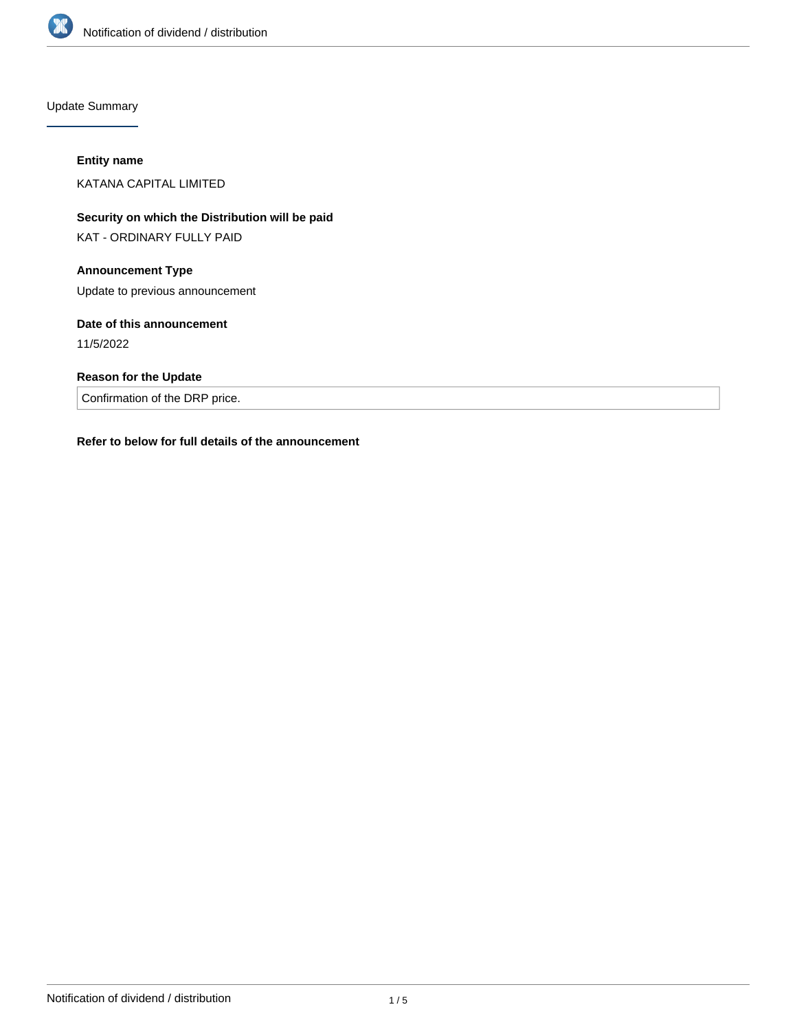

Update Summary

#### **Entity name**

KATANA CAPITAL LIMITED

**Security on which the Distribution will be paid**

KAT - ORDINARY FULLY PAID

## **Announcement Type**

Update to previous announcement

## **Date of this announcement**

11/5/2022

## **Reason for the Update**

Confirmation of the DRP price.

## **Refer to below for full details of the announcement**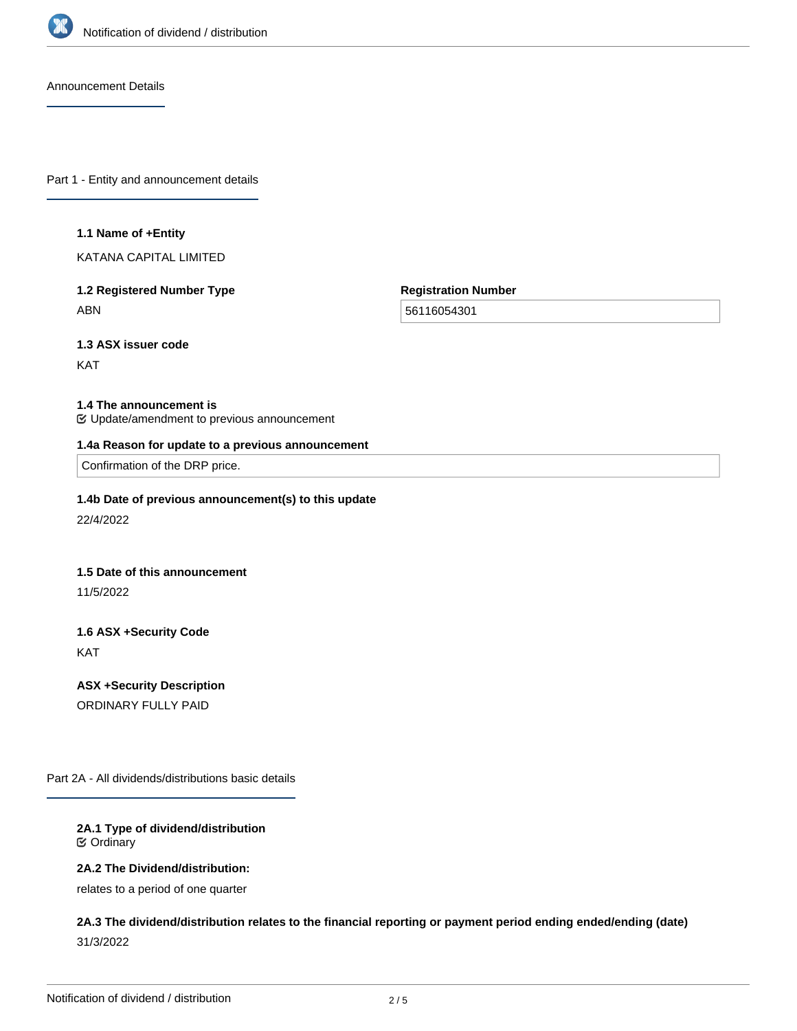

Announcement Details

Part 1 - Entity and announcement details

#### **1.1 Name of +Entity**

KATANA CAPITAL LIMITED

## **1.2 Registered Number Type** ABN

**Registration Number**

56116054301

**1.3 ASX issuer code**

KAT

#### **1.4 The announcement is**

Update/amendment to previous announcement

#### **1.4a Reason for update to a previous announcement**

Confirmation of the DRP price.

#### **1.4b Date of previous announcement(s) to this update**

22/4/2022

#### **1.5 Date of this announcement**

11/5/2022

# **1.6 ASX +Security Code** KAT

**ASX +Security Description** ORDINARY FULLY PAID

Part 2A - All dividends/distributions basic details

#### **2A.1 Type of dividend/distribution** Ordinary

#### **2A.2 The Dividend/distribution:**

relates to a period of one quarter

# **2A.3 The dividend/distribution relates to the financial reporting or payment period ending ended/ending (date)** 31/3/2022

**2A.4 +Record Date**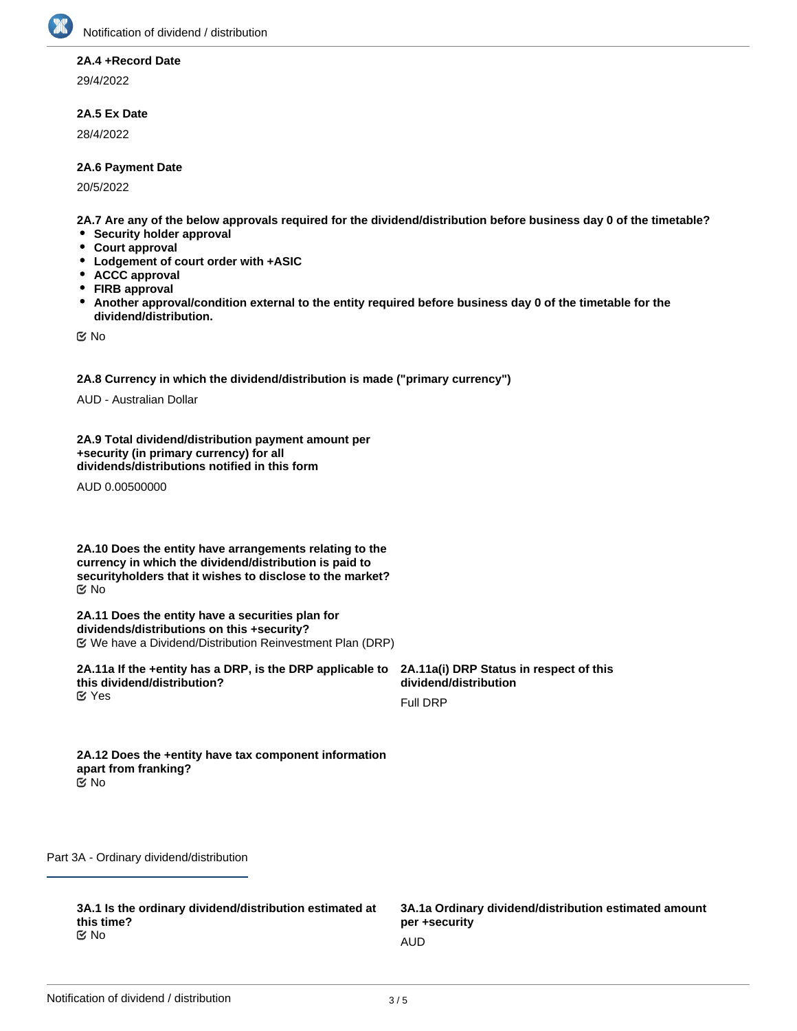

#### **2A.4 +Record Date**

29/4/2022

### **2A.5 Ex Date**

28/4/2022

#### **2A.6 Payment Date**

20/5/2022

**2A.7 Are any of the below approvals required for the dividend/distribution before business day 0 of the timetable?**

- **Security holder approval**
- **Court approval**
- **Lodgement of court order with +ASIC**
- **ACCC approval**
- **FIRB approval**
- $\bullet$ **Another approval/condition external to the entity required before business day 0 of the timetable for the dividend/distribution.**

No

**2A.8 Currency in which the dividend/distribution is made ("primary currency")**

AUD - Australian Dollar

**2A.9 Total dividend/distribution payment amount per +security (in primary currency) for all dividends/distributions notified in this form**

AUD 0.00500000

**2A.10 Does the entity have arrangements relating to the currency in which the dividend/distribution is paid to securityholders that it wishes to disclose to the market?** No

**2A.11 Does the entity have a securities plan for dividends/distributions on this +security?** We have a Dividend/Distribution Reinvestment Plan (DRP)

**2A.11a If the +entity has a DRP, is the DRP applicable to this dividend/distribution? K** Yes

**2A.11a(i) DRP Status in respect of this dividend/distribution**

Full DRP

**2A.12 Does the +entity have tax component information apart from franking?** No

Part 3A - Ordinary dividend/distribution

**3A.1 Is the ordinary dividend/distribution estimated at this time?** No and the contract of the contract of the contract of the contract of the contract of the contract of the contract of the contract of the contract of the contract of the contract of the contract of the contract of the con

**3A.1a Ordinary dividend/distribution estimated amount per +security**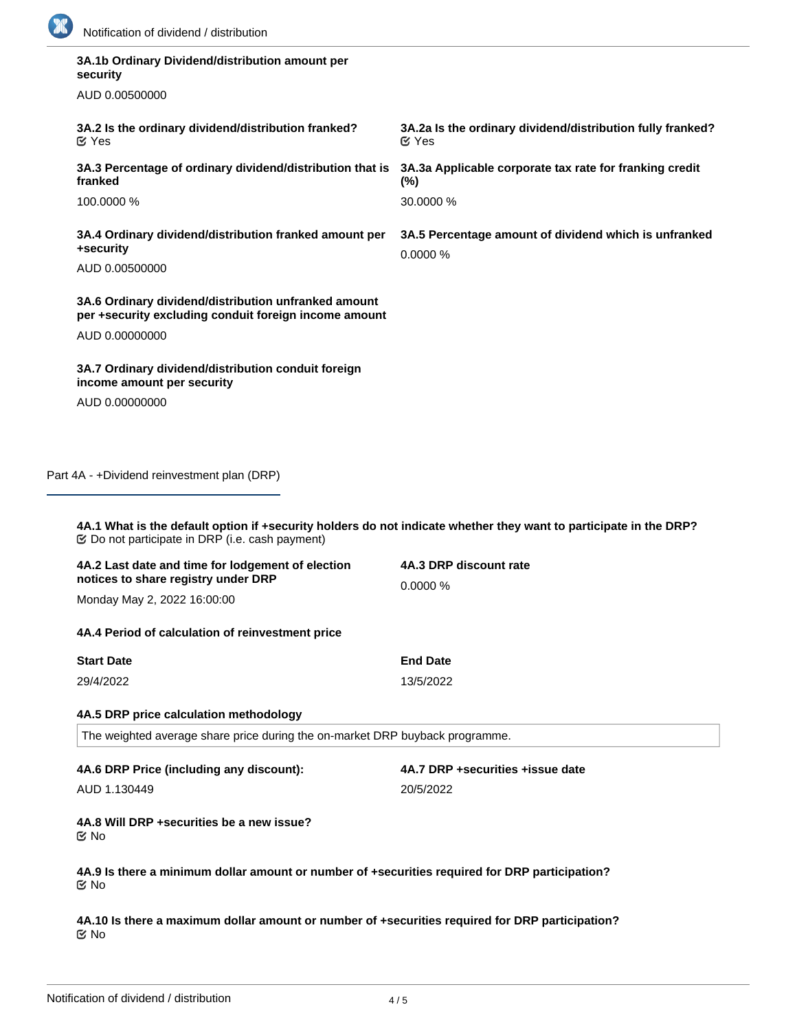

| security<br>AUD 0.00500000                                                                                        |                                                                            |
|-------------------------------------------------------------------------------------------------------------------|----------------------------------------------------------------------------|
|                                                                                                                   |                                                                            |
| 3A.2 Is the ordinary dividend/distribution franked?<br>$\mathfrak{C}$ Yes                                         | 3A.2a Is the ordinary dividend/distribution fully franked?<br>$\alpha$ Yes |
| 3A.3 Percentage of ordinary dividend/distribution that is<br>franked                                              | 3A.3a Applicable corporate tax rate for franking credit<br>$(\%)$          |
| 100.0000 %                                                                                                        | 30.0000 %                                                                  |
| 3A.4 Ordinary dividend/distribution franked amount per<br>+security                                               | 3A.5 Percentage amount of dividend which is unfranked<br>0.0000%           |
| AUD 0.00500000                                                                                                    |                                                                            |
| 3A.6 Ordinary dividend/distribution unfranked amount<br>per +security excluding conduit foreign income amount     |                                                                            |
| AUD 0.00000000                                                                                                    |                                                                            |
|                                                                                                                   |                                                                            |
| 3A.7 Ordinary dividend/distribution conduit foreign                                                               |                                                                            |
| income amount per security<br>AUD 0.00000000<br>Part 4A - +Dividend reinvestment plan (DRP)                       |                                                                            |
| 4A.1 What is the default option if +security holders do not indicate whether they want to participate in the DRP? |                                                                            |
| <b> ©</b> Do not participate in DRP (i.e. cash payment)                                                           | 4A.3 DRP discount rate                                                     |
| 4A.2 Last date and time for lodgement of election<br>notices to share registry under DRP                          | 0.0000%                                                                    |
| Monday May 2, 2022 16:00:00                                                                                       |                                                                            |
| 4A.4 Period of calculation of reinvestment price                                                                  |                                                                            |
| <b>Start Date</b>                                                                                                 | <b>End Date</b>                                                            |
| 29/4/2022                                                                                                         | 13/5/2022                                                                  |
| 4A.5 DRP price calculation methodology                                                                            |                                                                            |
| The weighted average share price during the on-market DRP buyback programme.                                      |                                                                            |
| 4A.6 DRP Price (including any discount):                                                                          | 4A.7 DRP +securities +issue date                                           |

**4A.9 Is there a minimum dollar amount or number of +securities required for DRP participation?** No

**4A.10 Is there a maximum dollar amount or number of +securities required for DRP participation?** No